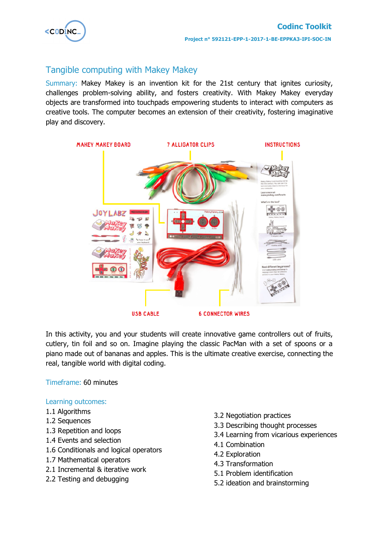

# Tangible computing with Makey Makey

Summary: Makey Makey is an invention kit for the 21st century that ignites curiosity, challenges problem-solving ability, and fosters creativity. With Makey Makey everyday objects are transformed into touchpads empowering students to interact with computers as creative tools. The computer becomes an extension of their creativity, fostering imaginative play and discovery.



In this activity, you and your students will create innovative game controllers out of fruits, cutlery, tin foil and so on. Imagine playing the classic PacMan with a set of spoons or a piano made out of bananas and apples. This is the ultimate creative exercise, connecting the real, tangible world with digital coding.

Timeframe: 60 minutes

### Learning outcomes:

- 1.1 Algorithms
- 1.2 Sequences
- 1.3 Repetition and loops
- 1.4 Events and selection
- 1.6 Conditionals and logical operators
- 1.7 Mathematical operators
- 2.1 Incremental & iterative work
- 2.2 Testing and debugging
- 3.2 Negotiation practices
- 3.3 Describing thought processes
- 3.4 Learning from vicarious experiences
- 4.1 Combination
- 4.2 Exploration
- 4.3 Transformation
- 5.1 Problem identification
- 5.2 ideation and brainstorming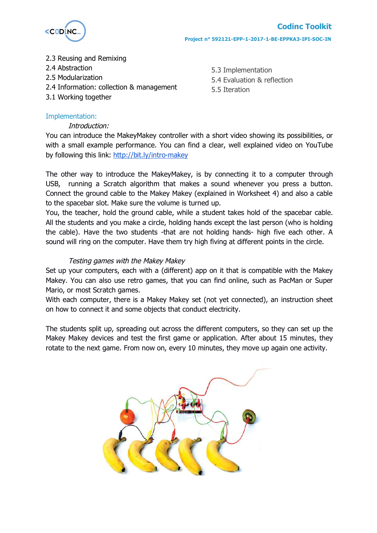

- 2.3 Reusing and Remixing
- 2.4 Abstraction
- 2.5 Modularization
- 2.4 Information: collection & management
- 3.1 Working together

5.3 Implementation 5.4 Evaluation & reflection 5.5 Iteration

# Implementation:

# Introduction:

You can introduce the MakeyMakey controller with a short video showing its possibilities, or with a small example performance. You can find a clear, well explained video on YouTube by following this link: http://bit.ly/intro-makey

The other way to introduce the MakeyMakey, is by connecting it to a computer through USB, running a Scratch algorithm that makes a sound whenever you press a button. Connect the ground cable to the Makey Makey (explained in Worksheet 4) and also a cable to the spacebar slot. Make sure the volume is turned up.

You, the teacher, hold the ground cable, while a student takes hold of the spacebar cable. All the students and you make a circle, holding hands except the last person (who is holding the cable). Have the two students -that are not holding hands- high five each other. A sound will ring on the computer. Have them try high fiving at different points in the circle.

# Testing games with the Makey Makey

Set up your computers, each with a (different) app on it that is compatible with the Makey Makey. You can also use retro games, that you can find online, such as PacMan or Super Mario, or most Scratch games.

With each computer, there is a Makey Makey set (not yet connected), an instruction sheet on how to connect it and some objects that conduct electricity.

The students split up, spreading out across the different computers, so they can set up the Makey Makey devices and test the first game or application. After about 15 minutes, they rotate to the next game. From now on, every 10 minutes, they move up again one activity.